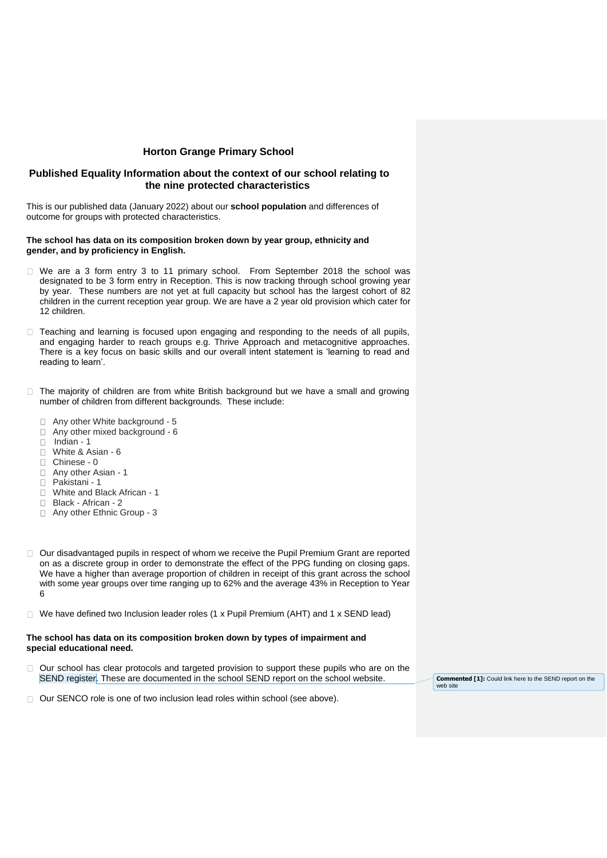# **Horton Grange Primary School**

# **Published Equality Information about the context of our school relating to the nine protected characteristics**

This is our published data (January 2022) about our **school population** and differences of outcome for groups with protected characteristics.

### **The school has data on its composition broken down by year group, ethnicity and gender, and by proficiency in English.**

- □ We are a 3 form entry 3 to 11 primary school. From September 2018 the school was designated to be 3 form entry in Reception. This is now tracking through school growing year by year. These numbers are not yet at full capacity but school has the largest cohort of 82 children in the current reception year group. We are have a 2 year old provision which cater for 12 children.
- $\Box$  Teaching and learning is focused upon engaging and responding to the needs of all pupils. and engaging harder to reach groups e.g. Thrive Approach and metacognitive approaches. There is a key focus on basic skills and our overall intent statement is 'learning to read and reading to learn'.
- $\Box$  The majority of children are from white British background but we have a small and growing number of children from different backgrounds. These include:
	- □ Any other White background 5
	- □ Any other mixed background 6
	- $\Box$  Indian 1
	- White & Asian 6
	- Chinese 0
	- Any other Asian 1
	- Pakistani 1
	- □ White and Black African 1
	- Black African 2
	- □ Any other Ethnic Group 3
- $\Box$  Our disadvantaged pupils in respect of whom we receive the Pupil Premium Grant are reported on as a discrete group in order to demonstrate the effect of the PPG funding on closing gaps. We have a higher than average proportion of children in receipt of this grant across the school with some year groups over time ranging up to 62% and the average 43% in Reception to Year 6
- $\Box$  We have defined two Inclusion leader roles (1 x Pupil Premium (AHT) and 1 x SEND lead)

### **The school has data on its composition broken down by types of impairment and special educational need.**

□ Our school has clear protocols and targeted provision to support these pupils who are on the SEND register. These are documented in the school SEND report on the school website.

**Commented [1]:** Could link here to the SEND report on the web site

□ Our SENCO role is one of two inclusion lead roles within school (see above).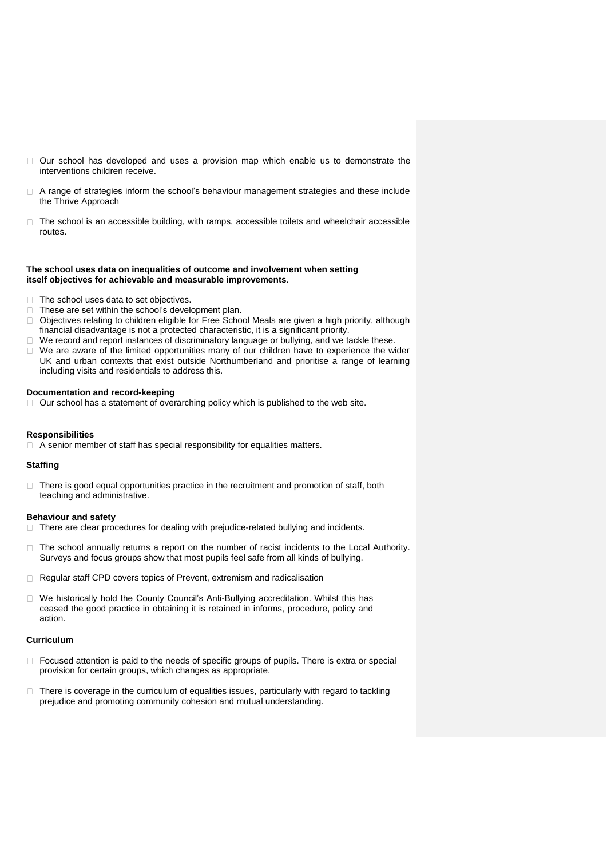- Our school has developed and uses a provision map which enable us to demonstrate the  $\Box$ interventions children receive.
- $\Box$  A range of strategies inform the school's behaviour management strategies and these include the Thrive Approach
- $\Box$  The school is an accessible building, with ramps, accessible toilets and wheelchair accessible routes.

### **The school uses data on inequalities of outcome and involvement when setting itself objectives for achievable and measurable improvements**.

- $\Box$  The school uses data to set objectives.
- $\Box$  These are set within the school's development plan.
- Objectives relating to children eligible for Free School Meals are given a high priority, although  $\Box$ financial disadvantage is not a protected characteristic, it is a significant priority.
- We record and report instances of discriminatory language or bullying, and we tackle these.
- $\Box$  We are aware of the limited opportunities many of our children have to experience the wider UK and urban contexts that exist outside Northumberland and prioritise a range of learning including visits and residentials to address this.

### **Documentation and record-keeping**

 $\Box$  Our school has a statement of overarching policy which is published to the web site.

### **Responsibilities**

 $\Box$  A senior member of staff has special responsibility for equalities matters.

# **Staffing**

There is good equal opportunities practice in the recruitment and promotion of staff, both  $\Box$ teaching and administrative.

### **Behaviour and safety**

- $\Box$  There are clear procedures for dealing with prejudice-related bullying and incidents.
- The school annually returns a report on the number of racist incidents to the Local Authority.  $\Box$ Surveys and focus groups show that most pupils feel safe from all kinds of bullying.
- □ Regular staff CPD covers topics of Prevent, extremism and radicalisation
- We historically hold the County Council's Anti-Bullying accreditation. Whilst this has ceased the good practice in obtaining it is retained in informs, procedure, policy and action.

### **Curriculum**

- $\Box$  Focused attention is paid to the needs of specific groups of pupils. There is extra or special provision for certain groups, which changes as appropriate.
- $\Box$  There is coverage in the curriculum of equalities issues, particularly with regard to tackling prejudice and promoting community cohesion and mutual understanding.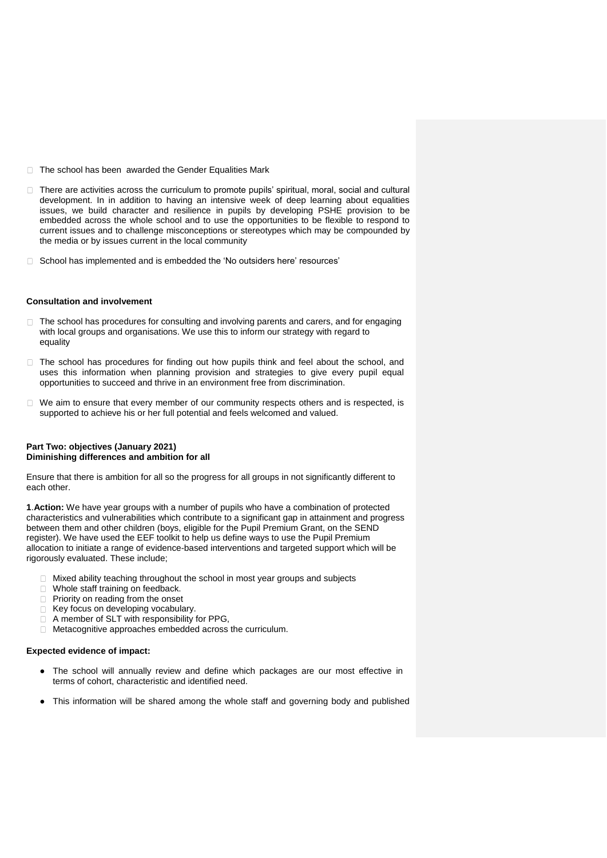- $\Box$  The school has been awarded the Gender Equalities Mark
- $\Box$  There are activities across the curriculum to promote pupils' spiritual, moral, social and cultural development. In in addition to having an intensive week of deep learning about equalities issues, we build character and resilience in pupils by developing PSHE provision to be embedded across the whole school and to use the opportunities to be flexible to respond to current issues and to challenge misconceptions or stereotypes which may be compounded by the media or by issues current in the local community
- □ School has implemented and is embedded the 'No outsiders here' resources'

#### **Consultation and involvement**

- The school has procedures for consulting and involving parents and carers, and for engaging  $\Box$ with local groups and organisations. We use this to inform our strategy with regard to equality
- $\Box$  The school has procedures for finding out how pupils think and feel about the school, and uses this information when planning provision and strategies to give every pupil equal opportunities to succeed and thrive in an environment free from discrimination.
- $\Box$  We aim to ensure that every member of our community respects others and is respected, is supported to achieve his or her full potential and feels welcomed and valued.

### **Part Two: objectives (January 2021) Diminishing differences and ambition for all**

Ensure that there is ambition for all so the progress for all groups in not significantly different to each other.

**1**.**Action:** We have year groups with a number of pupils who have a combination of protected characteristics and vulnerabilities which contribute to a significant gap in attainment and progress between them and other children (boys, eligible for the Pupil Premium Grant, on the SEND register). We have used the EEF toolkit to help us define ways to use the Pupil Premium allocation to initiate a range of evidence-based interventions and targeted support which will be rigorously evaluated. These include;

- $\Box$  Mixed ability teaching throughout the school in most year groups and subjects
- Whole staff training on feedback.
- $\Box$  Priority on reading from the onset
- Key focus on developing vocabulary.
- $\Box$  A member of SLT with responsibility for PPG,
- Metacognitive approaches embedded across the curriculum.

### **Expected evidence of impact:**

- The school will annually review and define which packages are our most effective in terms of cohort, characteristic and identified need.
- This information will be shared among the whole staff and governing body and published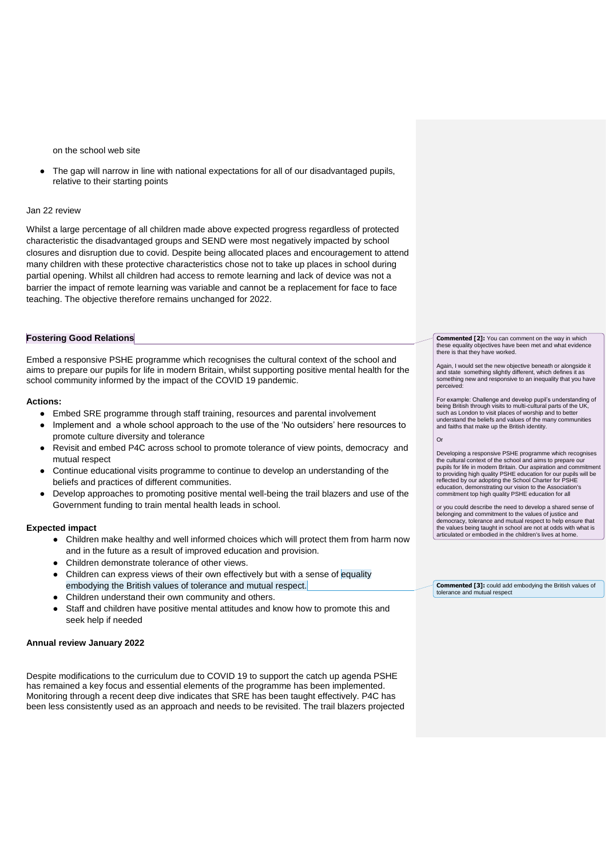on the school web site

The gap will narrow in line with national expectations for all of our disadvantaged pupils, relative to their starting points

### Jan 22 review

Whilst a large percentage of all children made above expected progress regardless of protected characteristic the disadvantaged groups and SEND were most negatively impacted by school closures and disruption due to covid. Despite being allocated places and encouragement to attend many children with these protective characteristics chose not to take up places in school during partial opening. Whilst all children had access to remote learning and lack of device was not a barrier the impact of remote learning was variable and cannot be a replacement for face to face teaching. The objective therefore remains unchanged for 2022.

### **Fostering Good Relations**

Embed a responsive PSHE programme which recognises the cultural context of the school and aims to prepare our pupils for life in modern Britain, whilst supporting positive mental health for the school community informed by the impact of the COVID 19 pandemic.

#### **Actions:**

- Embed SRE programme through staff training, resources and parental involvement
- Implement and a whole school approach to the use of the 'No outsiders' here resources to promote culture diversity and tolerance
- Revisit and embed P4C across school to promote tolerance of view points, democracy and mutual respect
- Continue educational visits programme to continue to develop an understanding of the beliefs and practices of different communities.
- Develop approaches to promoting positive mental well-being the trail blazers and use of the Government funding to train mental health leads in school.

### **Expected impact**

- Children make healthy and well informed choices which will protect them from harm now and in the future as a result of improved education and provision.
- Children demonstrate tolerance of other views.
- Children can express views of their own effectively but with a sense of equality embodying the British values of tolerance and mutual respect.
- Children understand their own community and others.
- Staff and children have positive mental attitudes and know how to promote this and seek help if needed

### **Annual review January 2022**

Despite modifications to the curriculum due to COVID 19 to support the catch up agenda PSHE has remained a key focus and essential elements of the programme has been implemented. Monitoring through a recent deep dive indicates that SRE has been taught effectively. P4C has been less consistently used as an approach and needs to be revisited. The trail blazers projected **Commented [2]:** You can comment on the way in which these equality objectives have been met and what evidence there is that they have worked.

Again, I would set the new objective beneath or alongside it and state something slightly different, which defines it as something new and responsive to an inequality that you have perceived:

For example: Challenge and develop pupil's understanding of being British through visits to multi-cultural parts of the UK, such as London to visit places of worship and to better understand the beliefs and values of the many communities and faiths that make up the British identity.

 $\overline{O}$ 

Developing a responsive PSHE programme which recognises the cultural context of the school and aims to prepare our pupils for life in modern Britain. Our aspiration and commitment to providing high quality PSHE education for our pupils will be reflected by our adopting the School Charter for PSHE education, demonstrating our vision to the Association's commitment top high quality PSHE education for all

or you could describe the need to develop a shared sense of belonging and commitment to the values of justice and democracy, tolerance and mutual respect to help ensure that the values being taught in school are not at odds with what is articulated or embodied in the children's lives at home.

**Commented [3]:** could add embodying the British values of tolerance and mutual respect